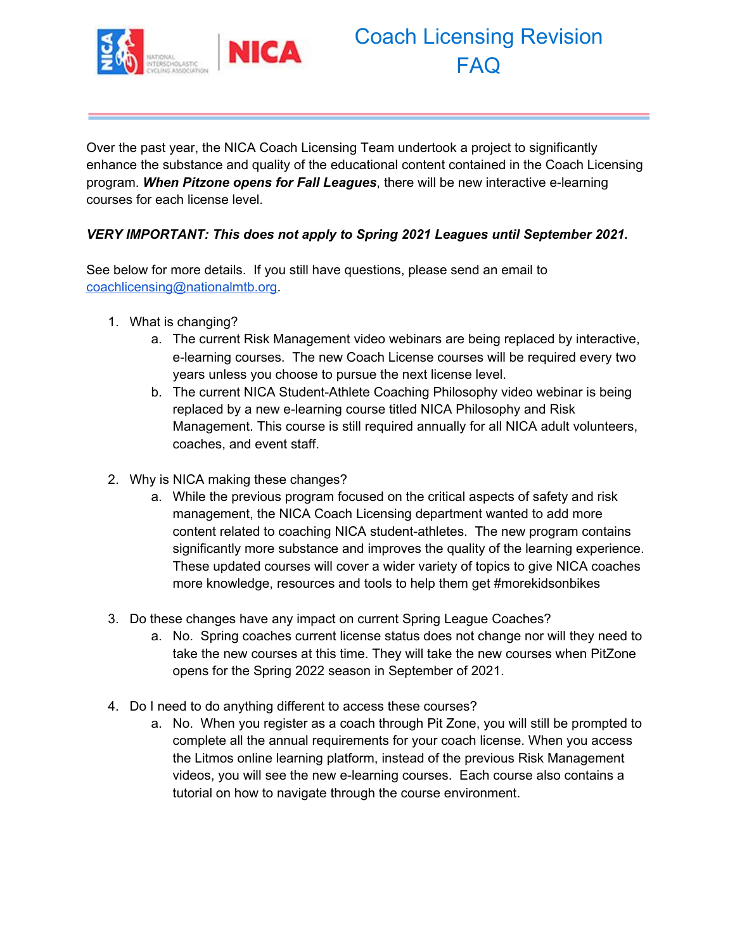

## Coach Licensing Revision FAQ

Over the past year, the NICA Coach Licensing Team undertook a project to significantly enhance the substance and quality of the educational content contained in the Coach Licensing program. *When Pitzone opens for Fall Leagues*, there will be new interactive e-learning courses for each license level.

### *VERY IMPORTANT: This does not apply to Spring 2021 Leagues until September 2021.*

See below for more details. If you still have questions, please send an email to [coachlicensing@nationalmtb.org](mailto:coachlicensing@nationalmtb.org).

- 1. What is changing?
	- a. The current Risk Management video webinars are being replaced by interactive, e-learning courses. The new Coach License courses will be required every two years unless you choose to pursue the next license level.
	- b. The current NICA Student-Athlete Coaching Philosophy video webinar is being replaced by a new e-learning course titled NICA Philosophy and Risk Management. This course is still required annually for all NICA adult volunteers, coaches, and event staff.
- 2. Why is NICA making these changes?
	- a. While the previous program focused on the critical aspects of safety and risk management, the NICA Coach Licensing department wanted to add more content related to coaching NICA student-athletes. The new program contains significantly more substance and improves the quality of the learning experience. These updated courses will cover a wider variety of topics to give NICA coaches more knowledge, resources and tools to help them get #morekidsonbikes
- 3. Do these changes have any impact on current Spring League Coaches?
	- a. No. Spring coaches current license status does not change nor will they need to take the new courses at this time. They will take the new courses when PitZone opens for the Spring 2022 season in September of 2021.
- 4. Do I need to do anything different to access these courses?
	- a. No. When you register as a coach through Pit Zone, you will still be prompted to complete all the annual requirements for your coach license. When you access the Litmos online learning platform, instead of the previous Risk Management videos, you will see the new e-learning courses. Each course also contains a tutorial on how to navigate through the course environment.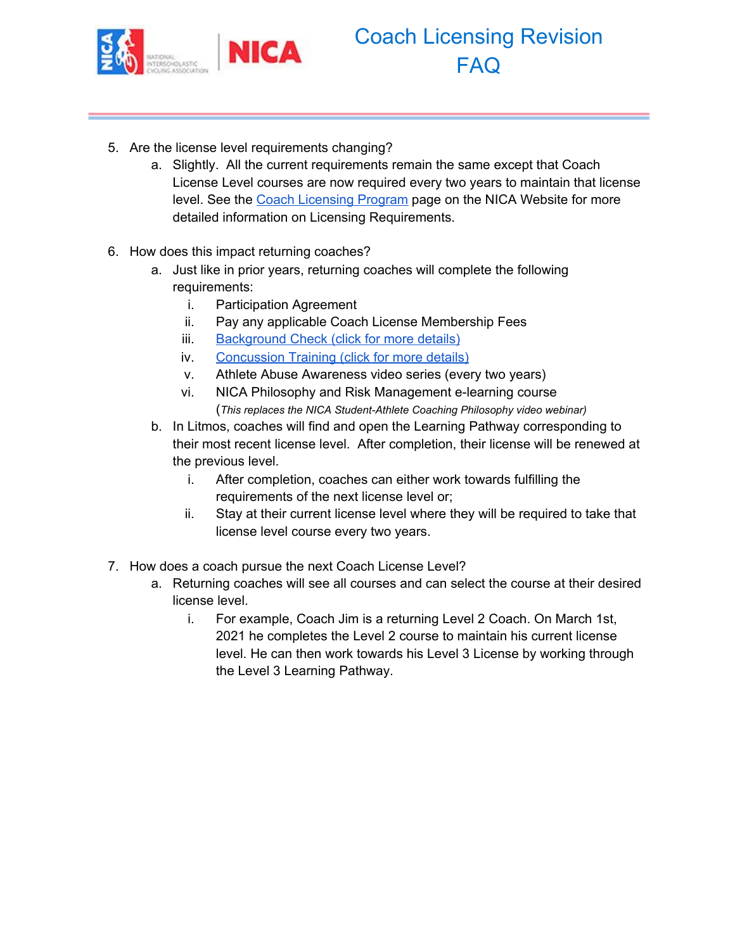

# Coach Licensing Revision FAQ

- 5. Are the license level requirements changing?
	- a. Slightly. All the current requirements remain the same except that Coach License Level courses are now required every two years to maintain that license level. See the Coach [Licensing](https://www.nationalmtb.org/coaches-license-program/) Program page on the NICA Website for more detailed information on Licensing Requirements.
- 6. How does this impact returning coaches?
	- a. Just like in prior years, returning coaches will complete the following requirements:
		- i. Participation Agreement
		- ii. Pay any applicable Coach License Membership Fees
		- iii. [Background](https://www.nationalmtb.org/background-check/) Check (click for more details)
		- iv. [Concussion](https://www.nationalmtb.org/coaches-license-program/#CDC%20Concussion%20Course) Training (click for more details)
		- v. Athlete Abuse Awareness video series (every two years)
		- vi. NICA Philosophy and Risk Management e-learning course (*This replaces the NICA Student-Athlete Coaching Philosophy video webinar)*
	- b. In Litmos, coaches will find and open the Learning Pathway corresponding to their most recent license level. After completion, their license will be renewed at the previous level.
		- i. After completion, coaches can either work towards fulfilling the requirements of the next license level or;
		- ii. Stay at their current license level where they will be required to take that license level course every two years.
- 7. How does a coach pursue the next Coach License Level?
	- a. Returning coaches will see all courses and can select the course at their desired license level.
		- i. For example, Coach Jim is a returning Level 2 Coach. On March 1st, 2021 he completes the Level 2 course to maintain his current license level. He can then work towards his Level 3 License by working through the Level 3 Learning Pathway.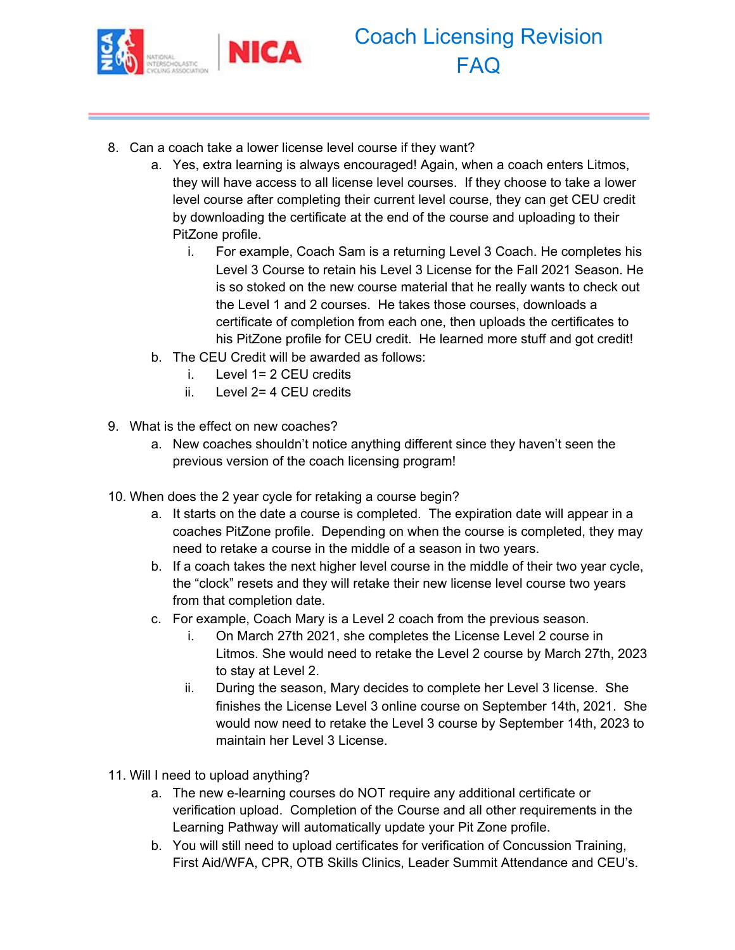

- 8. Can a coach take a lower license level course if they want?
	- a. Yes, extra learning is always encouraged! Again, when a coach enters Litmos, they will have access to all license level courses. If they choose to take a lower level course after completing their current level course, they can get CEU credit by downloading the certificate at the end of the course and uploading to their PitZone profile.
		- i. For example, Coach Sam is a returning Level 3 Coach. He completes his Level 3 Course to retain his Level 3 License for the Fall 2021 Season. He is so stoked on the new course material that he really wants to check out the Level 1 and 2 courses. He takes those courses, downloads a certificate of completion from each one, then uploads the certificates to his PitZone profile for CEU credit. He learned more stuff and got credit!
	- b. The CEU Credit will be awarded as follows:
		- i. Level 1= 2 CEU credits
		- ii. Level 2= 4 CEU credits
- 9. What is the effect on new coaches?
	- a. New coaches shouldn't notice anything different since they haven't seen the previous version of the coach licensing program!
- 10. When does the 2 year cycle for retaking a course begin?
	- a. It starts on the date a course is completed. The expiration date will appear in a coaches PitZone profile. Depending on when the course is completed, they may need to retake a course in the middle of a season in two years.
	- b. If a coach takes the next higher level course in the middle of their two year cycle, the "clock" resets and they will retake their new license level course two years from that completion date.
	- c. For example, Coach Mary is a Level 2 coach from the previous season.
		- i. On March 27th 2021, she completes the License Level 2 course in Litmos. She would need to retake the Level 2 course by March 27th, 2023 to stay at Level 2.
		- ii. During the season, Mary decides to complete her Level 3 license. She finishes the License Level 3 online course on September 14th, 2021. She would now need to retake the Level 3 course by September 14th, 2023 to maintain her Level 3 License.
- 11. Will I need to upload anything?
	- a. The new e-learning courses do NOT require any additional certificate or verification upload. Completion of the Course and all other requirements in the Learning Pathway will automatically update your Pit Zone profile.
	- b. You will still need to upload certificates for verification of Concussion Training, First Aid/WFA, CPR, OTB Skills Clinics, Leader Summit Attendance and CEU's.